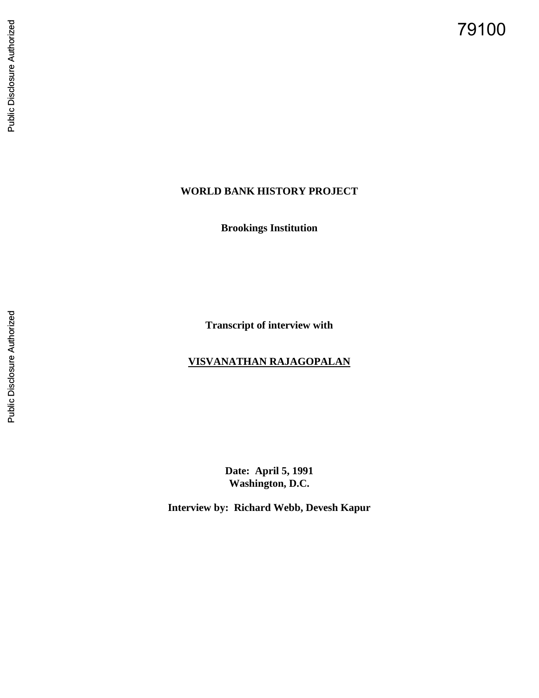79100

## **WORLD BANK HISTORY PROJECT**

**Brookings Institution**

**Transcript of interview with** 

# **VISVANATHAN RAJAGOPALAN**

**Date: April 5, 1991 Washington, D.C.**

**Interview by: Richard Webb, Devesh Kapur**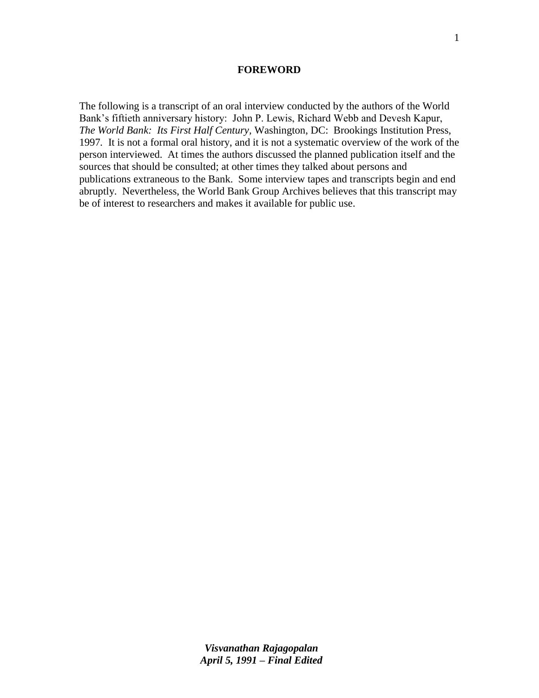#### **FOREWORD**

The following is a transcript of an oral interview conducted by the authors of the World Bank"s fiftieth anniversary history: John P. Lewis, Richard Webb and Devesh Kapur, *The World Bank: Its First Half Century,* Washington, DC: Brookings Institution Press, 1997*.* It is not a formal oral history, and it is not a systematic overview of the work of the person interviewed. At times the authors discussed the planned publication itself and the sources that should be consulted; at other times they talked about persons and publications extraneous to the Bank. Some interview tapes and transcripts begin and end abruptly. Nevertheless, the World Bank Group Archives believes that this transcript may be of interest to researchers and makes it available for public use.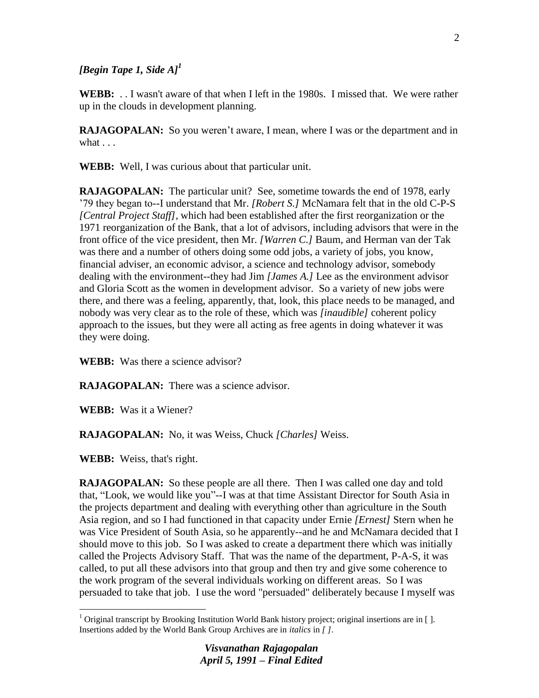## *[Begin Tape 1, Side A]<sup>1</sup>*

**WEBB:** . . I wasn't aware of that when I left in the 1980s. I missed that. We were rather up in the clouds in development planning.

**RAJAGOPALAN:** So you weren't aware, I mean, where I was or the department and in what  $\ldots$ 

**WEBB:** Well, I was curious about that particular unit.

**RAJAGOPALAN:** The particular unit? See, sometime towards the end of 1978, early "79 they began to--I understand that Mr. *[Robert S.]* McNamara felt that in the old C-P-S *[Central Project Staff]*, which had been established after the first reorganization or the 1971 reorganization of the Bank, that a lot of advisors, including advisors that were in the front office of the vice president, then Mr. *[Warren C.]* Baum, and Herman van der Tak was there and a number of others doing some odd jobs, a variety of jobs, you know, financial adviser, an economic advisor, a science and technology advisor, somebody dealing with the environment--they had Jim *[James A.]* Lee as the environment advisor and Gloria Scott as the women in development advisor. So a variety of new jobs were there, and there was a feeling, apparently, that, look, this place needs to be managed, and nobody was very clear as to the role of these, which was *[inaudible]* coherent policy approach to the issues, but they were all acting as free agents in doing whatever it was they were doing.

**WEBB:** Was there a science advisor?

**RAJAGOPALAN:** There was a science advisor.

**WEBB:** Was it a Wiener?

**RAJAGOPALAN:** No, it was Weiss, Chuck *[Charles]* Weiss.

**WEBB:** Weiss, that's right.

 $\overline{a}$ 

**RAJAGOPALAN:** So these people are all there. Then I was called one day and told that, "Look, we would like you"--I was at that time Assistant Director for South Asia in the projects department and dealing with everything other than agriculture in the South Asia region, and so I had functioned in that capacity under Ernie *[Ernest]* Stern when he was Vice President of South Asia, so he apparently--and he and McNamara decided that I should move to this job. So I was asked to create a department there which was initially called the Projects Advisory Staff. That was the name of the department, P-A-S, it was called, to put all these advisors into that group and then try and give some coherence to the work program of the several individuals working on different areas. So I was persuaded to take that job. I use the word "persuaded" deliberately because I myself was

<sup>&</sup>lt;sup>1</sup> Original transcript by Brooking Institution World Bank history project; original insertions are in []. Insertions added by the World Bank Group Archives are in *italics* in *[ ]*.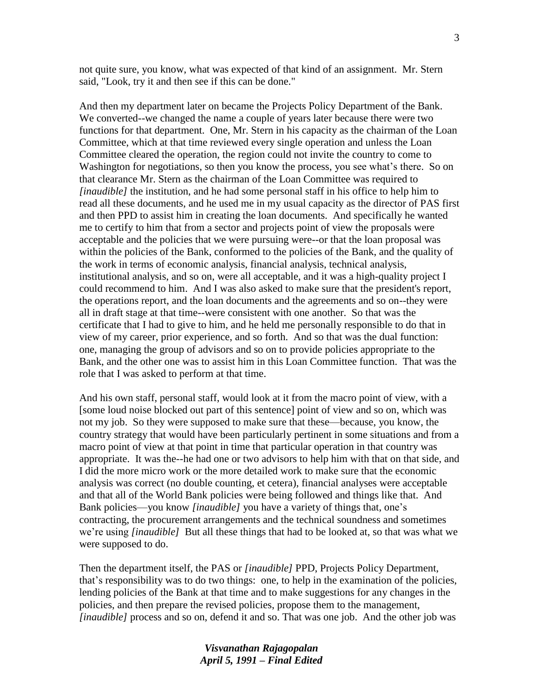not quite sure, you know, what was expected of that kind of an assignment. Mr. Stern said, "Look, try it and then see if this can be done."

And then my department later on became the Projects Policy Department of the Bank. We converted--we changed the name a couple of years later because there were two functions for that department. One, Mr. Stern in his capacity as the chairman of the Loan Committee, which at that time reviewed every single operation and unless the Loan Committee cleared the operation, the region could not invite the country to come to Washington for negotiations, so then you know the process, you see what's there. So on that clearance Mr. Stern as the chairman of the Loan Committee was required to *[inaudible]* the institution, and he had some personal staff in his office to help him to read all these documents, and he used me in my usual capacity as the director of PAS first and then PPD to assist him in creating the loan documents. And specifically he wanted me to certify to him that from a sector and projects point of view the proposals were acceptable and the policies that we were pursuing were--or that the loan proposal was within the policies of the Bank, conformed to the policies of the Bank, and the quality of the work in terms of economic analysis, financial analysis, technical analysis, institutional analysis, and so on, were all acceptable, and it was a high-quality project I could recommend to him. And I was also asked to make sure that the president's report, the operations report, and the loan documents and the agreements and so on--they were all in draft stage at that time--were consistent with one another. So that was the certificate that I had to give to him, and he held me personally responsible to do that in view of my career, prior experience, and so forth. And so that was the dual function: one, managing the group of advisors and so on to provide policies appropriate to the Bank, and the other one was to assist him in this Loan Committee function. That was the role that I was asked to perform at that time.

And his own staff, personal staff, would look at it from the macro point of view, with a [some loud noise blocked out part of this sentence] point of view and so on, which was not my job. So they were supposed to make sure that these—because, you know, the country strategy that would have been particularly pertinent in some situations and from a macro point of view at that point in time that particular operation in that country was appropriate. It was the--he had one or two advisors to help him with that on that side, and I did the more micro work or the more detailed work to make sure that the economic analysis was correct (no double counting, et cetera), financial analyses were acceptable and that all of the World Bank policies were being followed and things like that. And Bank policies—you know *[inaudible]* you have a variety of things that, one"s contracting, the procurement arrangements and the technical soundness and sometimes we"re using *[inaudible]* But all these things that had to be looked at, so that was what we were supposed to do.

Then the department itself, the PAS or *[inaudible]* PPD, Projects Policy Department, that"s responsibility was to do two things: one, to help in the examination of the policies, lending policies of the Bank at that time and to make suggestions for any changes in the policies, and then prepare the revised policies, propose them to the management, *[inaudible]* process and so on, defend it and so. That was one job. And the other job was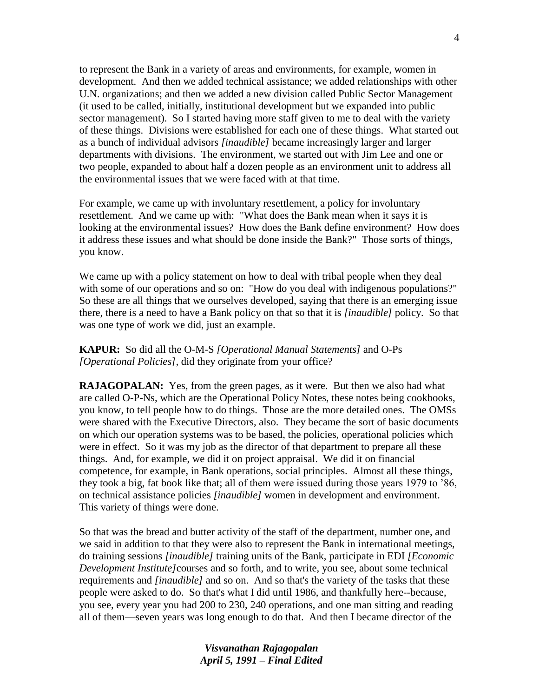to represent the Bank in a variety of areas and environments, for example, women in development. And then we added technical assistance; we added relationships with other U.N. organizations; and then we added a new division called Public Sector Management (it used to be called, initially, institutional development but we expanded into public sector management). So I started having more staff given to me to deal with the variety of these things. Divisions were established for each one of these things. What started out as a bunch of individual advisors *[inaudible]* became increasingly larger and larger departments with divisions. The environment, we started out with Jim Lee and one or two people, expanded to about half a dozen people as an environment unit to address all the environmental issues that we were faced with at that time.

For example, we came up with involuntary resettlement, a policy for involuntary resettlement. And we came up with: "What does the Bank mean when it says it is looking at the environmental issues? How does the Bank define environment? How does it address these issues and what should be done inside the Bank?" Those sorts of things, you know.

We came up with a policy statement on how to deal with tribal people when they deal with some of our operations and so on: "How do you deal with indigenous populations?" So these are all things that we ourselves developed, saying that there is an emerging issue there, there is a need to have a Bank policy on that so that it is *[inaudible]* policy. So that was one type of work we did, just an example.

**KAPUR:** So did all the O-M-S *[Operational Manual Statements]* and O-Ps *[Operational Policies],* did they originate from your office?

**RAJAGOPALAN:** Yes, from the green pages, as it were. But then we also had what are called O-P-Ns, which are the Operational Policy Notes, these notes being cookbooks, you know, to tell people how to do things. Those are the more detailed ones. The OMSs were shared with the Executive Directors, also. They became the sort of basic documents on which our operation systems was to be based, the policies, operational policies which were in effect. So it was my job as the director of that department to prepare all these things. And, for example, we did it on project appraisal. We did it on financial competence, for example, in Bank operations, social principles. Almost all these things, they took a big, fat book like that; all of them were issued during those years 1979 to "86, on technical assistance policies *[inaudible]* women in development and environment. This variety of things were done.

So that was the bread and butter activity of the staff of the department, number one, and we said in addition to that they were also to represent the Bank in international meetings, do training sessions *[inaudible]* training units of the Bank, participate in EDI *[Economic Development Institute]*courses and so forth, and to write, you see, about some technical requirements and *[inaudible]* and so on. And so that's the variety of the tasks that these people were asked to do. So that's what I did until 1986, and thankfully here--because, you see, every year you had 200 to 230, 240 operations, and one man sitting and reading all of them—seven years was long enough to do that. And then I became director of the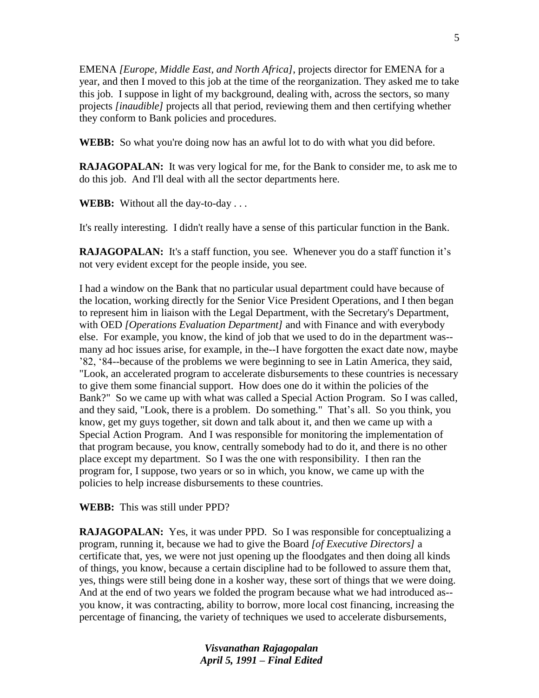EMENA *[Europe, Middle East, and North Africa]*, projects director for EMENA for a year, and then I moved to this job at the time of the reorganization. They asked me to take this job. I suppose in light of my background, dealing with, across the sectors, so many projects *[inaudible]* projects all that period, reviewing them and then certifying whether they conform to Bank policies and procedures.

**WEBB:** So what you're doing now has an awful lot to do with what you did before.

**RAJAGOPALAN:** It was very logical for me, for the Bank to consider me, to ask me to do this job. And I'll deal with all the sector departments here.

**WEBB:** Without all the day-to-day . . .

It's really interesting. I didn't really have a sense of this particular function in the Bank.

**RAJAGOPALAN:** It's a staff function, you see. Whenever you do a staff function it's not very evident except for the people inside, you see.

I had a window on the Bank that no particular usual department could have because of the location, working directly for the Senior Vice President Operations, and I then began to represent him in liaison with the Legal Department, with the Secretary's Department, with OED *[Operations Evaluation Department]* and with Finance and with everybody else. For example, you know, the kind of job that we used to do in the department was- many ad hoc issues arise, for example, in the--I have forgotten the exact date now, maybe "82, "84--because of the problems we were beginning to see in Latin America, they said, "Look, an accelerated program to accelerate disbursements to these countries is necessary to give them some financial support. How does one do it within the policies of the Bank?" So we came up with what was called a Special Action Program. So I was called, and they said, "Look, there is a problem. Do something." That's all. So you think, you know, get my guys together, sit down and talk about it, and then we came up with a Special Action Program. And I was responsible for monitoring the implementation of that program because, you know, centrally somebody had to do it, and there is no other place except my department. So I was the one with responsibility. I then ran the program for, I suppose, two years or so in which, you know, we came up with the policies to help increase disbursements to these countries.

**WEBB:** This was still under PPD?

**RAJAGOPALAN:** Yes, it was under PPD. So I was responsible for conceptualizing a program, running it, because we had to give the Board *[of Executive Directors]* a certificate that, yes, we were not just opening up the floodgates and then doing all kinds of things, you know, because a certain discipline had to be followed to assure them that, yes, things were still being done in a kosher way, these sort of things that we were doing. And at the end of two years we folded the program because what we had introduced as- you know, it was contracting, ability to borrow, more local cost financing, increasing the percentage of financing, the variety of techniques we used to accelerate disbursements,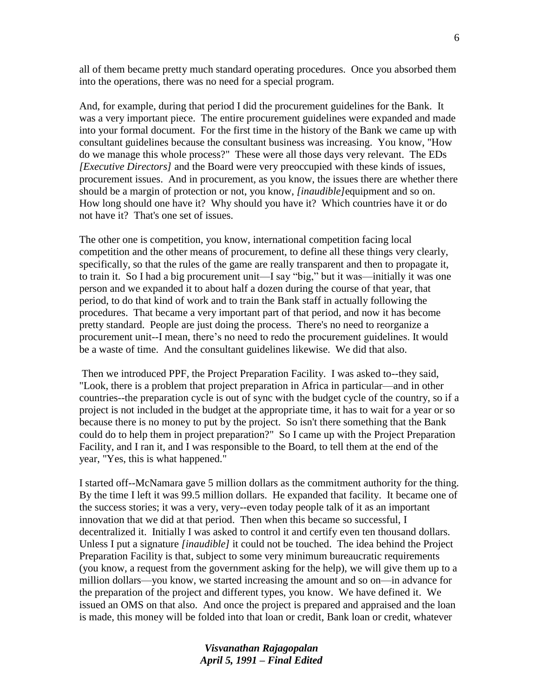all of them became pretty much standard operating procedures. Once you absorbed them into the operations, there was no need for a special program.

And, for example, during that period I did the procurement guidelines for the Bank. It was a very important piece. The entire procurement guidelines were expanded and made into your formal document. For the first time in the history of the Bank we came up with consultant guidelines because the consultant business was increasing. You know, "How do we manage this whole process?" These were all those days very relevant. The EDs *[Executive Directors]* and the Board were very preoccupied with these kinds of issues, procurement issues. And in procurement, as you know, the issues there are whether there should be a margin of protection or not, you know, *[inaudible]*equipment and so on. How long should one have it? Why should you have it? Which countries have it or do not have it? That's one set of issues.

The other one is competition, you know, international competition facing local competition and the other means of procurement, to define all these things very clearly, specifically, so that the rules of the game are really transparent and then to propagate it, to train it. So I had a big procurement unit—I say "big," but it was—initially it was one person and we expanded it to about half a dozen during the course of that year, that period, to do that kind of work and to train the Bank staff in actually following the procedures. That became a very important part of that period, and now it has become pretty standard. People are just doing the process. There's no need to reorganize a procurement unit--I mean, there"s no need to redo the procurement guidelines. It would be a waste of time. And the consultant guidelines likewise. We did that also.

Then we introduced PPF, the Project Preparation Facility. I was asked to--they said, "Look, there is a problem that project preparation in Africa in particular—and in other countries--the preparation cycle is out of sync with the budget cycle of the country, so if a project is not included in the budget at the appropriate time, it has to wait for a year or so because there is no money to put by the project. So isn't there something that the Bank could do to help them in project preparation?" So I came up with the Project Preparation Facility, and I ran it, and I was responsible to the Board, to tell them at the end of the year, "Yes, this is what happened."

I started off--McNamara gave 5 million dollars as the commitment authority for the thing. By the time I left it was 99.5 million dollars. He expanded that facility. It became one of the success stories; it was a very, very--even today people talk of it as an important innovation that we did at that period. Then when this became so successful, I decentralized it. Initially I was asked to control it and certify even ten thousand dollars. Unless I put a signature *[inaudible]* it could not be touched. The idea behind the Project Preparation Facility is that, subject to some very minimum bureaucratic requirements (you know, a request from the government asking for the help), we will give them up to a million dollars—you know, we started increasing the amount and so on—in advance for the preparation of the project and different types, you know. We have defined it. We issued an OMS on that also. And once the project is prepared and appraised and the loan is made, this money will be folded into that loan or credit, Bank loan or credit, whatever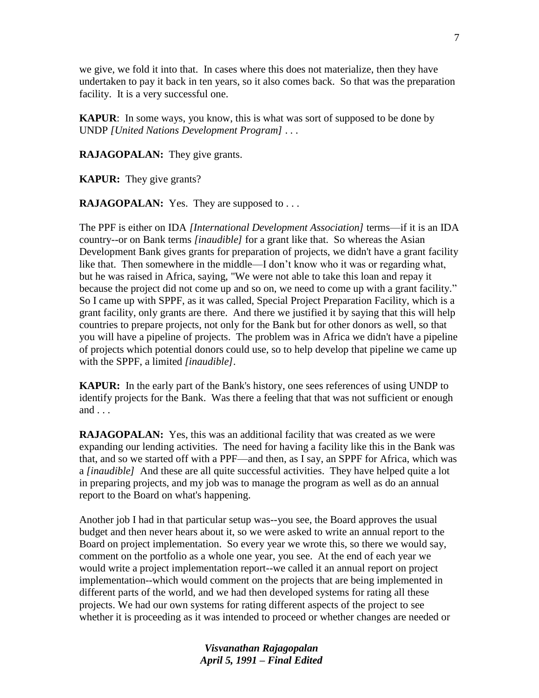we give, we fold it into that. In cases where this does not materialize, then they have undertaken to pay it back in ten years, so it also comes back. So that was the preparation facility. It is a very successful one.

**KAPUR**: In some ways, you know, this is what was sort of supposed to be done by UNDP *[United Nations Development Program]* . . .

**RAJAGOPALAN:** They give grants.

**KAPUR:** They give grants?

**RAJAGOPALAN:** Yes. They are supposed to . . .

The PPF is either on IDA *[International Development Association]* terms—if it is an IDA country--or on Bank terms *[inaudible]* for a grant like that. So whereas the Asian Development Bank gives grants for preparation of projects, we didn't have a grant facility like that. Then somewhere in the middle—I don't know who it was or regarding what, but he was raised in Africa, saying, "We were not able to take this loan and repay it because the project did not come up and so on, we need to come up with a grant facility." So I came up with SPPF, as it was called, Special Project Preparation Facility, which is a grant facility, only grants are there. And there we justified it by saying that this will help countries to prepare projects, not only for the Bank but for other donors as well, so that you will have a pipeline of projects. The problem was in Africa we didn't have a pipeline of projects which potential donors could use, so to help develop that pipeline we came up with the SPPF, a limited *[inaudible]*.

**KAPUR:** In the early part of the Bank's history, one sees references of using UNDP to identify projects for the Bank. Was there a feeling that that was not sufficient or enough and . . .

**RAJAGOPALAN:** Yes, this was an additional facility that was created as we were expanding our lending activities. The need for having a facility like this in the Bank was that, and so we started off with a PPF—and then, as I say, an SPPF for Africa, which was a *[inaudible]* And these are all quite successful activities. They have helped quite a lot in preparing projects, and my job was to manage the program as well as do an annual report to the Board on what's happening.

Another job I had in that particular setup was--you see, the Board approves the usual budget and then never hears about it, so we were asked to write an annual report to the Board on project implementation. So every year we wrote this, so there we would say, comment on the portfolio as a whole one year, you see. At the end of each year we would write a project implementation report--we called it an annual report on project implementation--which would comment on the projects that are being implemented in different parts of the world, and we had then developed systems for rating all these projects. We had our own systems for rating different aspects of the project to see whether it is proceeding as it was intended to proceed or whether changes are needed or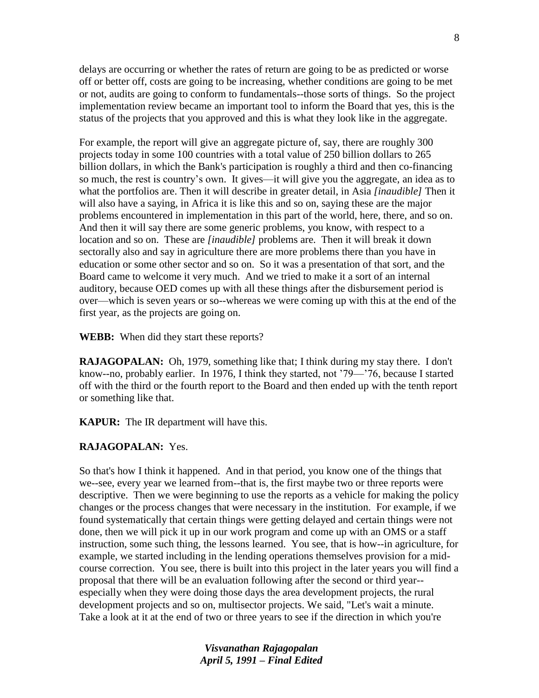delays are occurring or whether the rates of return are going to be as predicted or worse off or better off, costs are going to be increasing, whether conditions are going to be met or not, audits are going to conform to fundamentals--those sorts of things. So the project implementation review became an important tool to inform the Board that yes, this is the status of the projects that you approved and this is what they look like in the aggregate.

For example, the report will give an aggregate picture of, say, there are roughly 300 projects today in some 100 countries with a total value of 250 billion dollars to 265 billion dollars, in which the Bank's participation is roughly a third and then co-financing so much, the rest is country"s own. It gives—it will give you the aggregate, an idea as to what the portfolios are. Then it will describe in greater detail, in Asia *[inaudible]* Then it will also have a saying, in Africa it is like this and so on, saying these are the major problems encountered in implementation in this part of the world, here, there, and so on. And then it will say there are some generic problems, you know, with respect to a location and so on. These are *[inaudible]* problems are. Then it will break it down sectorally also and say in agriculture there are more problems there than you have in education or some other sector and so on. So it was a presentation of that sort, and the Board came to welcome it very much. And we tried to make it a sort of an internal auditory, because OED comes up with all these things after the disbursement period is over—which is seven years or so--whereas we were coming up with this at the end of the first year, as the projects are going on.

**WEBB:** When did they start these reports?

**RAJAGOPALAN:** Oh, 1979, something like that; I think during my stay there. I don't know--no, probably earlier. In 1976, I think they started, not "79—"76, because I started off with the third or the fourth report to the Board and then ended up with the tenth report or something like that.

**KAPUR:** The IR department will have this.

#### **RAJAGOPALAN:** Yes.

So that's how I think it happened. And in that period, you know one of the things that we--see, every year we learned from--that is, the first maybe two or three reports were descriptive. Then we were beginning to use the reports as a vehicle for making the policy changes or the process changes that were necessary in the institution. For example, if we found systematically that certain things were getting delayed and certain things were not done, then we will pick it up in our work program and come up with an OMS or a staff instruction, some such thing, the lessons learned. You see, that is how--in agriculture, for example, we started including in the lending operations themselves provision for a midcourse correction. You see, there is built into this project in the later years you will find a proposal that there will be an evaluation following after the second or third year- especially when they were doing those days the area development projects, the rural development projects and so on, multisector projects. We said, "Let's wait a minute. Take a look at it at the end of two or three years to see if the direction in which you're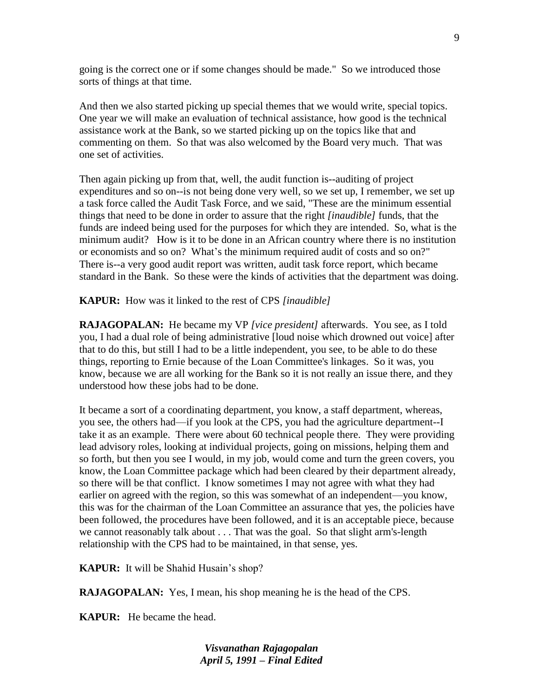going is the correct one or if some changes should be made." So we introduced those sorts of things at that time.

And then we also started picking up special themes that we would write, special topics. One year we will make an evaluation of technical assistance, how good is the technical assistance work at the Bank, so we started picking up on the topics like that and commenting on them. So that was also welcomed by the Board very much. That was one set of activities.

Then again picking up from that, well, the audit function is--auditing of project expenditures and so on--is not being done very well, so we set up, I remember, we set up a task force called the Audit Task Force, and we said, "These are the minimum essential things that need to be done in order to assure that the right *[inaudible]* funds, that the funds are indeed being used for the purposes for which they are intended. So, what is the minimum audit? How is it to be done in an African country where there is no institution or economists and so on? What"s the minimum required audit of costs and so on?" There is--a very good audit report was written, audit task force report, which became standard in the Bank. So these were the kinds of activities that the department was doing.

**KAPUR:** How was it linked to the rest of CPS *[inaudible]*

**RAJAGOPALAN:** He became my VP *[vice president]* afterwards. You see, as I told you, I had a dual role of being administrative [loud noise which drowned out voice] after that to do this, but still I had to be a little independent, you see, to be able to do these things, reporting to Ernie because of the Loan Committee's linkages. So it was, you know, because we are all working for the Bank so it is not really an issue there, and they understood how these jobs had to be done.

It became a sort of a coordinating department, you know, a staff department, whereas, you see, the others had—if you look at the CPS, you had the agriculture department--I take it as an example. There were about 60 technical people there. They were providing lead advisory roles, looking at individual projects, going on missions, helping them and so forth, but then you see I would, in my job, would come and turn the green covers, you know, the Loan Committee package which had been cleared by their department already, so there will be that conflict. I know sometimes I may not agree with what they had earlier on agreed with the region, so this was somewhat of an independent—you know, this was for the chairman of the Loan Committee an assurance that yes, the policies have been followed, the procedures have been followed, and it is an acceptable piece, because we cannot reasonably talk about . . . That was the goal. So that slight arm's-length relationship with the CPS had to be maintained, in that sense, yes.

**KAPUR:** It will be Shahid Husain's shop?

**RAJAGOPALAN:** Yes, I mean, his shop meaning he is the head of the CPS.

**KAPUR:** He became the head.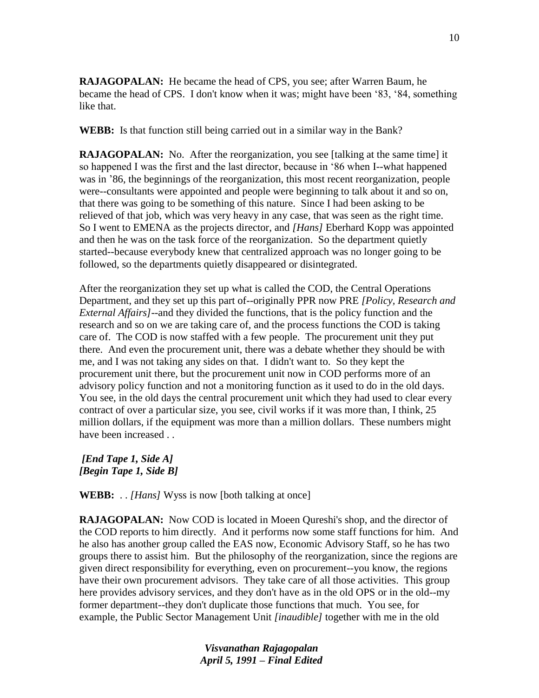**RAJAGOPALAN:** He became the head of CPS, you see; after Warren Baum, he became the head of CPS. I don't know when it was; might have been "83, "84, something like that.

**WEBB:** Is that function still being carried out in a similar way in the Bank?

**RAJAGOPALAN:** No. After the reorganization, you see [talking at the same time] it so happened I was the first and the last director, because in "86 when I--what happened was in "86, the beginnings of the reorganization, this most recent reorganization, people were--consultants were appointed and people were beginning to talk about it and so on, that there was going to be something of this nature. Since I had been asking to be relieved of that job, which was very heavy in any case, that was seen as the right time. So I went to EMENA as the projects director, and *[Hans]* Eberhard Kopp was appointed and then he was on the task force of the reorganization. So the department quietly started--because everybody knew that centralized approach was no longer going to be followed, so the departments quietly disappeared or disintegrated.

After the reorganization they set up what is called the COD, the Central Operations Department, and they set up this part of--originally PPR now PRE *[Policy, Research and External Affairs]*--and they divided the functions, that is the policy function and the research and so on we are taking care of, and the process functions the COD is taking care of. The COD is now staffed with a few people. The procurement unit they put there. And even the procurement unit, there was a debate whether they should be with me, and I was not taking any sides on that. I didn't want to. So they kept the procurement unit there, but the procurement unit now in COD performs more of an advisory policy function and not a monitoring function as it used to do in the old days. You see, in the old days the central procurement unit which they had used to clear every contract of over a particular size, you see, civil works if it was more than, I think, 25 million dollars, if the equipment was more than a million dollars. These numbers might have been increased . .

*[End Tape 1, Side A] [Begin Tape 1, Side B]*

**WEBB:** . . *[Hans]* Wyss is now [both talking at once]

**RAJAGOPALAN:** Now COD is located in Moeen Oureshi's shop, and the director of the COD reports to him directly. And it performs now some staff functions for him. And he also has another group called the EAS now, Economic Advisory Staff, so he has two groups there to assist him. But the philosophy of the reorganization, since the regions are given direct responsibility for everything, even on procurement--you know, the regions have their own procurement advisors. They take care of all those activities. This group here provides advisory services, and they don't have as in the old OPS or in the old--my former department--they don't duplicate those functions that much. You see, for example, the Public Sector Management Unit *[inaudible]* together with me in the old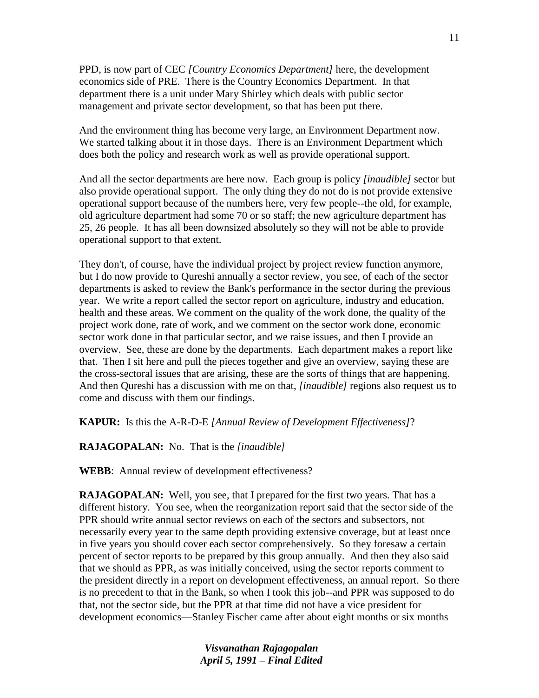PPD, is now part of CEC *[Country Economics Department]* here, the development economics side of PRE. There is the Country Economics Department. In that department there is a unit under Mary Shirley which deals with public sector management and private sector development, so that has been put there.

And the environment thing has become very large, an Environment Department now. We started talking about it in those days. There is an Environment Department which does both the policy and research work as well as provide operational support.

And all the sector departments are here now. Each group is policy *[inaudible]* sector but also provide operational support. The only thing they do not do is not provide extensive operational support because of the numbers here, very few people--the old, for example, old agriculture department had some 70 or so staff; the new agriculture department has 25, 26 people. It has all been downsized absolutely so they will not be able to provide operational support to that extent.

They don't, of course, have the individual project by project review function anymore, but I do now provide to Qureshi annually a sector review, you see, of each of the sector departments is asked to review the Bank's performance in the sector during the previous year. We write a report called the sector report on agriculture, industry and education, health and these areas. We comment on the quality of the work done, the quality of the project work done, rate of work, and we comment on the sector work done, economic sector work done in that particular sector, and we raise issues, and then I provide an overview. See, these are done by the departments. Each department makes a report like that. Then I sit here and pull the pieces together and give an overview, saying these are the cross-sectoral issues that are arising, these are the sorts of things that are happening. And then Qureshi has a discussion with me on that, *[inaudible]* regions also request us to come and discuss with them our findings.

**KAPUR:** Is this the A-R-D-E *[Annual Review of Development Effectiveness]*?

**RAJAGOPALAN:** No. That is the *[inaudible]*

**WEBB**: Annual review of development effectiveness?

**RAJAGOPALAN:** Well, you see, that I prepared for the first two years. That has a different history. You see, when the reorganization report said that the sector side of the PPR should write annual sector reviews on each of the sectors and subsectors, not necessarily every year to the same depth providing extensive coverage, but at least once in five years you should cover each sector comprehensively. So they foresaw a certain percent of sector reports to be prepared by this group annually. And then they also said that we should as PPR, as was initially conceived, using the sector reports comment to the president directly in a report on development effectiveness, an annual report. So there is no precedent to that in the Bank, so when I took this job--and PPR was supposed to do that, not the sector side, but the PPR at that time did not have a vice president for development economics—Stanley Fischer came after about eight months or six months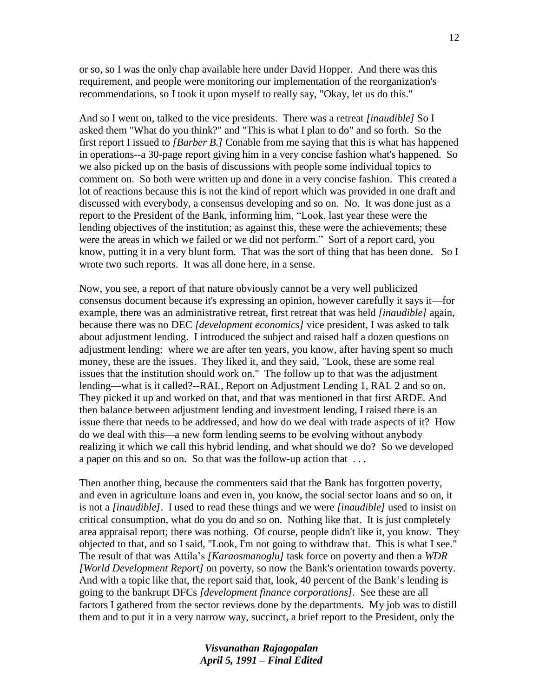or so, so I was the only chap available here under David Hopper. And there was this requirement, and people were monitoring our implementation of the reorganization's recommendations, so I took it upon myself to really say, "Okay, let us do this."

And so I went on, talked to the vice presidents. There was a retreat *[inaudible]* So I asked them "What do you think?" and "This is what I plan to do" and so forth. So the first report I issued to *[Barber B.]* Conable from me saying that this is what has happened in operations--a 30-page report giving him in a very concise fashion what's happened. So we also picked up on the basis of discussions with people some individual topics to comment on. So both were written up and done in a very concise fashion. This created a lot of reactions because this is not the kind of report which was provided in one draft and discussed with everybody, a consensus developing and so on. No. It was done just as a report to the President of the Bank, informing him, "Look, last year these were the lending objectives of the institution; as against this, these were the achievements; these were the areas in which we failed or we did not perform." Sort of a report card, you know, putting it in a very blunt form. That was the sort of thing that has been done. So I wrote two such reports. It was all done here, in a sense.

Now, you see, a report of that nature obviously cannot be a very well publicized consensus document because it's expressing an opinion, however carefully it says it—for example, there was an administrative retreat, first retreat that was held *[inaudible]* again, because there was no DEC *[development economics]* vice president, I was asked to talk about adjustment lending. I introduced the subject and raised half a dozen questions on adjustment lending: where we are after ten years, you know, after having spent so much money, these are the issues. They liked it, and they said, "Look, these are some real issues that the institution should work on." The follow up to that was the adjustment lending—what is it called?--RAL, Report on Adjustment Lending 1, RAL 2 and so on. They picked it up and worked on that, and that was mentioned in that first ARDE*.* And then balance between adjustment lending and investment lending, I raised there is an issue there that needs to be addressed, and how do we deal with trade aspects of it? How do we deal with this—a new form lending seems to be evolving without anybody realizing it which we call this hybrid lending, and what should we do? So we developed a paper on this and so on. So that was the follow-up action that . . .

Then another thing, because the commenters said that the Bank has forgotten poverty, and even in agriculture loans and even in, you know, the social sector loans and so on, it is not a *[inaudible]*. I used to read these things and we were *[inaudible]* used to insist on critical consumption, what do you do and so on. Nothing like that. It is just completely area appraisal report; there was nothing. Of course, people didn't like it, you know. They objected to that, and so I said, "Look, I'm not going to withdraw that. This is what I see." The result of that was Attila"s *[Karaosmanoglu]* task force on poverty and then a *WDR [World Development Report]* on poverty, so now the Bank's orientation towards poverty. And with a topic like that, the report said that, look, 40 percent of the Bank"s lending is going to the bankrupt DFCs *[development finance corporations].* See these are all factors I gathered from the sector reviews done by the departments. My job was to distill them and to put it in a very narrow way, succinct, a brief report to the President, only the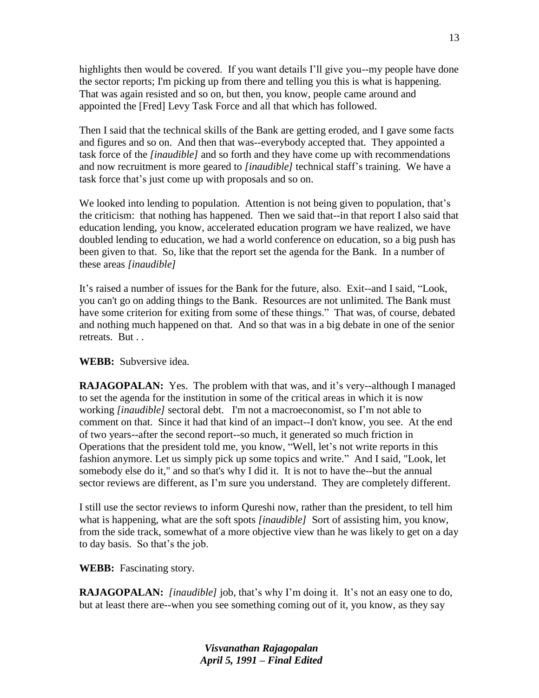highlights then would be covered. If you want details I"ll give you--my people have done the sector reports; I'm picking up from there and telling you this is what is happening. That was again resisted and so on, but then, you know, people came around and appointed the [Fred] Levy Task Force and all that which has followed.

Then I said that the technical skills of the Bank are getting eroded, and I gave some facts and figures and so on. And then that was--everybody accepted that. They appointed a task force of the *[inaudible]* and so forth and they have come up with recommendations and now recruitment is more geared to *[inaudible]* technical staff"s training. We have a task force that"s just come up with proposals and so on.

We looked into lending to population. Attention is not being given to population, that's the criticism: that nothing has happened. Then we said that--in that report I also said that education lending, you know, accelerated education program we have realized, we have doubled lending to education, we had a world conference on education, so a big push has been given to that. So, like that the report set the agenda for the Bank. In a number of these areas *[inaudible]*

It"s raised a number of issues for the Bank for the future, also. Exit--and I said, "Look, you can't go on adding things to the Bank. Resources are not unlimited. The Bank must have some criterion for exiting from some of these things." That was, of course, debated and nothing much happened on that. And so that was in a big debate in one of the senior retreats. But . .

### **WEBB:** Subversive idea.

**RAJAGOPALAN:** Yes. The problem with that was, and it's very--although I managed to set the agenda for the institution in some of the critical areas in which it is now working *[inaudible]* sectoral debt. I'm not a macroeconomist, so I"m not able to comment on that. Since it had that kind of an impact--I don't know, you see. At the end of two years--after the second report--so much, it generated so much friction in Operations that the president told me, you know, "Well, let's not write reports in this fashion anymore. Let us simply pick up some topics and write." And I said, "Look, let somebody else do it," and so that's why I did it. It is not to have the--but the annual sector reviews are different, as I'm sure you understand. They are completely different.

I still use the sector reviews to inform Qureshi now, rather than the president, to tell him what is happening, what are the soft spots *[inaudible]* Sort of assisting him, you know, from the side track, somewhat of a more objective view than he was likely to get on a day to day basis. So that"s the job.

**WEBB:** Fascinating story.

**RAJAGOPALAN:** *[inaudible]* job, that's why I'm doing it. It's not an easy one to do, but at least there are--when you see something coming out of it, you know, as they say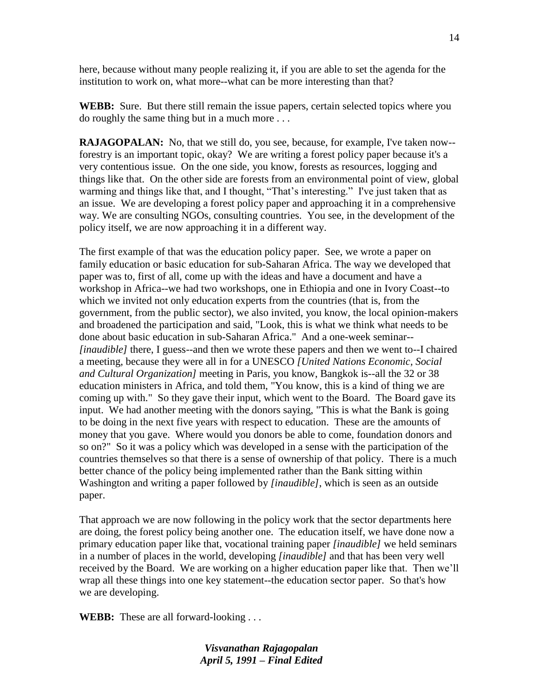here, because without many people realizing it, if you are able to set the agenda for the institution to work on, what more--what can be more interesting than that?

**WEBB:** Sure. But there still remain the issue papers, certain selected topics where you do roughly the same thing but in a much more . . .

**RAJAGOPALAN:** No, that we still do, you see, because, for example, I've taken now-forestry is an important topic, okay? We are writing a forest policy paper because it's a very contentious issue. On the one side, you know, forests as resources, logging and things like that. On the other side are forests from an environmental point of view, global warming and things like that, and I thought, "That's interesting." I've just taken that as an issue. We are developing a forest policy paper and approaching it in a comprehensive way. We are consulting NGOs, consulting countries. You see, in the development of the policy itself, we are now approaching it in a different way.

The first example of that was the education policy paper. See, we wrote a paper on family education or basic education for sub-Saharan Africa. The way we developed that paper was to, first of all, come up with the ideas and have a document and have a workshop in Africa--we had two workshops, one in Ethiopia and one in Ivory Coast--to which we invited not only education experts from the countries (that is, from the government, from the public sector), we also invited, you know, the local opinion-makers and broadened the participation and said, "Look, this is what we think what needs to be done about basic education in sub-Saharan Africa." And a one-week seminar-- *[inaudible]* there, I guess--and then we wrote these papers and then we went to--I chaired a meeting, because they were all in for a UNESCO *[United Nations Economic, Social and Cultural Organization]* meeting in Paris, you know, Bangkok is--all the 32 or 38 education ministers in Africa, and told them, "You know, this is a kind of thing we are coming up with." So they gave their input, which went to the Board. The Board gave its input. We had another meeting with the donors saying, "This is what the Bank is going to be doing in the next five years with respect to education. These are the amounts of money that you gave. Where would you donors be able to come, foundation donors and so on?" So it was a policy which was developed in a sense with the participation of the countries themselves so that there is a sense of ownership of that policy. There is a much better chance of the policy being implemented rather than the Bank sitting within Washington and writing a paper followed by *[inaudible]*, which is seen as an outside paper.

That approach we are now following in the policy work that the sector departments here are doing, the forest policy being another one. The education itself, we have done now a primary education paper like that, vocational training paper *[inaudible]* we held seminars in a number of places in the world, developing *[inaudible]* and that has been very well received by the Board. We are working on a higher education paper like that. Then we"ll wrap all these things into one key statement--the education sector paper. So that's how we are developing.

**WEBB:** These are all forward-looking . . .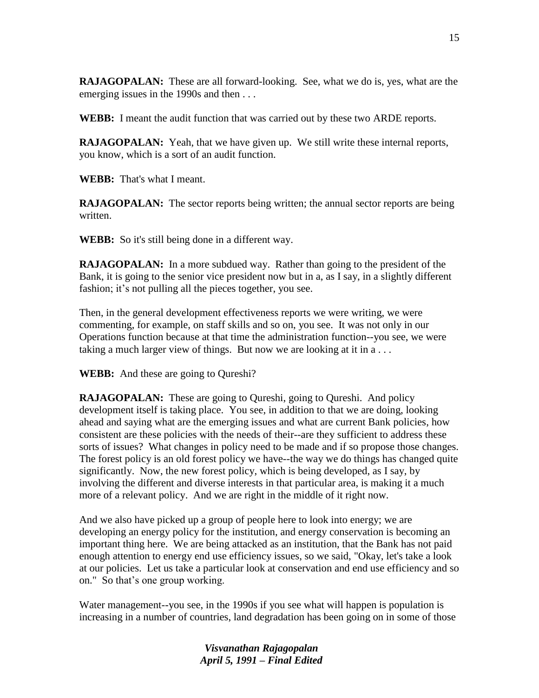**RAJAGOPALAN:** These are all forward-looking. See, what we do is, yes, what are the emerging issues in the 1990s and then . . .

**WEBB:** I meant the audit function that was carried out by these two ARDE reports.

**RAJAGOPALAN:** Yeah, that we have given up. We still write these internal reports, you know, which is a sort of an audit function.

**WEBB:** That's what I meant.

**RAJAGOPALAN:** The sector reports being written; the annual sector reports are being written.

**WEBB:** So it's still being done in a different way.

**RAJAGOPALAN:** In a more subdued way. Rather than going to the president of the Bank, it is going to the senior vice president now but in a, as I say, in a slightly different fashion; it's not pulling all the pieces together, you see.

Then, in the general development effectiveness reports we were writing, we were commenting, for example, on staff skills and so on, you see. It was not only in our Operations function because at that time the administration function--you see, we were taking a much larger view of things. But now we are looking at it in a . . .

**WEBB:** And these are going to Qureshi?

**RAJAGOPALAN:** These are going to Oureshi, going to Oureshi. And policy development itself is taking place. You see, in addition to that we are doing, looking ahead and saying what are the emerging issues and what are current Bank policies, how consistent are these policies with the needs of their--are they sufficient to address these sorts of issues? What changes in policy need to be made and if so propose those changes. The forest policy is an old forest policy we have--the way we do things has changed quite significantly. Now, the new forest policy, which is being developed, as I say, by involving the different and diverse interests in that particular area, is making it a much more of a relevant policy. And we are right in the middle of it right now.

And we also have picked up a group of people here to look into energy; we are developing an energy policy for the institution, and energy conservation is becoming an important thing here. We are being attacked as an institution, that the Bank has not paid enough attention to energy end use efficiency issues, so we said, "Okay, let's take a look at our policies. Let us take a particular look at conservation and end use efficiency and so on." So that"s one group working.

Water management--you see, in the 1990s if you see what will happen is population is increasing in a number of countries, land degradation has been going on in some of those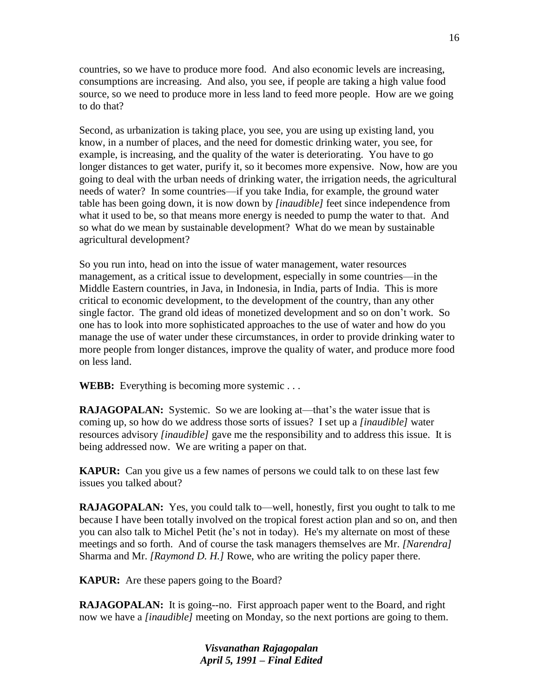countries, so we have to produce more food. And also economic levels are increasing, consumptions are increasing. And also, you see, if people are taking a high value food source, so we need to produce more in less land to feed more people. How are we going to do that?

Second, as urbanization is taking place, you see, you are using up existing land, you know, in a number of places, and the need for domestic drinking water, you see, for example, is increasing, and the quality of the water is deteriorating. You have to go longer distances to get water, purify it, so it becomes more expensive. Now, how are you going to deal with the urban needs of drinking water, the irrigation needs, the agricultural needs of water? In some countries—if you take India, for example, the ground water table has been going down, it is now down by *[inaudible]* feet since independence from what it used to be, so that means more energy is needed to pump the water to that. And so what do we mean by sustainable development? What do we mean by sustainable agricultural development?

So you run into, head on into the issue of water management, water resources management, as a critical issue to development, especially in some countries—in the Middle Eastern countries, in Java, in Indonesia, in India, parts of India. This is more critical to economic development, to the development of the country, than any other single factor. The grand old ideas of monetized development and so on don"t work. So one has to look into more sophisticated approaches to the use of water and how do you manage the use of water under these circumstances, in order to provide drinking water to more people from longer distances, improve the quality of water, and produce more food on less land.

**WEBB:** Everything is becoming more systemic . . .

**RAJAGOPALAN:** Systemic. So we are looking at—that's the water issue that is coming up, so how do we address those sorts of issues? I set up a *[inaudible]* water resources advisory *[inaudible]* gave me the responsibility and to address this issue. It is being addressed now. We are writing a paper on that.

**KAPUR:** Can you give us a few names of persons we could talk to on these last few issues you talked about?

**RAJAGOPALAN:** Yes, you could talk to—well, honestly, first you ought to talk to me because I have been totally involved on the tropical forest action plan and so on, and then you can also talk to Michel Petit (he"s not in today). He's my alternate on most of these meetings and so forth. And of course the task managers themselves are Mr. *[Narendra]* Sharma and Mr. *[Raymond D. H.]* Rowe, who are writing the policy paper there.

**KAPUR:** Are these papers going to the Board?

**RAJAGOPALAN:** It is going--no. First approach paper went to the Board, and right now we have a *[inaudible]* meeting on Monday, so the next portions are going to them.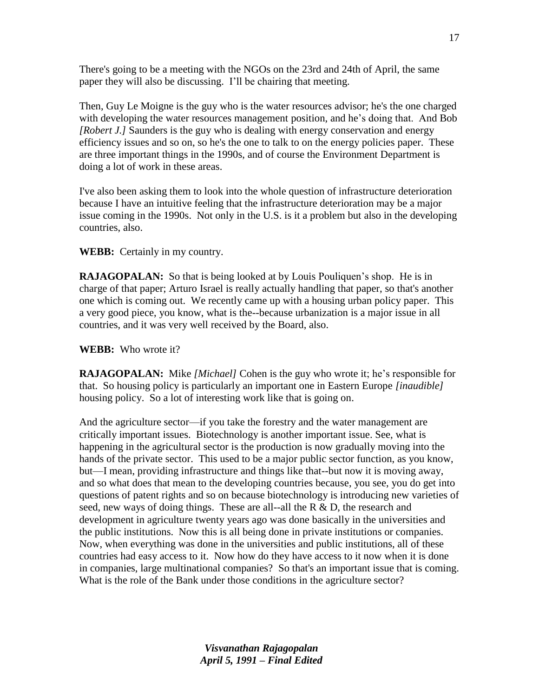There's going to be a meeting with the NGOs on the 23rd and 24th of April, the same paper they will also be discussing. I"ll be chairing that meeting.

Then, Guy Le Moigne is the guy who is the water resources advisor; he's the one charged with developing the water resources management position, and he's doing that. And Bob *[Robert J.]* Saunders is the guy who is dealing with energy conservation and energy efficiency issues and so on, so he's the one to talk to on the energy policies paper. These are three important things in the 1990s, and of course the Environment Department is doing a lot of work in these areas.

I've also been asking them to look into the whole question of infrastructure deterioration because I have an intuitive feeling that the infrastructure deterioration may be a major issue coming in the 1990s. Not only in the U.S. is it a problem but also in the developing countries, also.

### **WEBB:** Certainly in my country.

**RAJAGOPALAN:** So that is being looked at by Louis Pouliquen's shop. He is in charge of that paper; Arturo Israel is really actually handling that paper, so that's another one which is coming out. We recently came up with a housing urban policy paper. This a very good piece, you know, what is the--because urbanization is a major issue in all countries, and it was very well received by the Board, also.

## **WEBB:** Who wrote it?

**RAJAGOPALAN:** Mike *[Michael]* Cohen is the guy who wrote it; he"s responsible for that. So housing policy is particularly an important one in Eastern Europe *[inaudible]* housing policy. So a lot of interesting work like that is going on.

And the agriculture sector—if you take the forestry and the water management are critically important issues. Biotechnology is another important issue. See, what is happening in the agricultural sector is the production is now gradually moving into the hands of the private sector. This used to be a major public sector function, as you know, but—I mean, providing infrastructure and things like that--but now it is moving away, and so what does that mean to the developing countries because, you see, you do get into questions of patent rights and so on because biotechnology is introducing new varieties of seed, new ways of doing things. These are all--all the  $R \& D$ , the research and development in agriculture twenty years ago was done basically in the universities and the public institutions. Now this is all being done in private institutions or companies. Now, when everything was done in the universities and public institutions, all of these countries had easy access to it. Now how do they have access to it now when it is done in companies, large multinational companies? So that's an important issue that is coming. What is the role of the Bank under those conditions in the agriculture sector?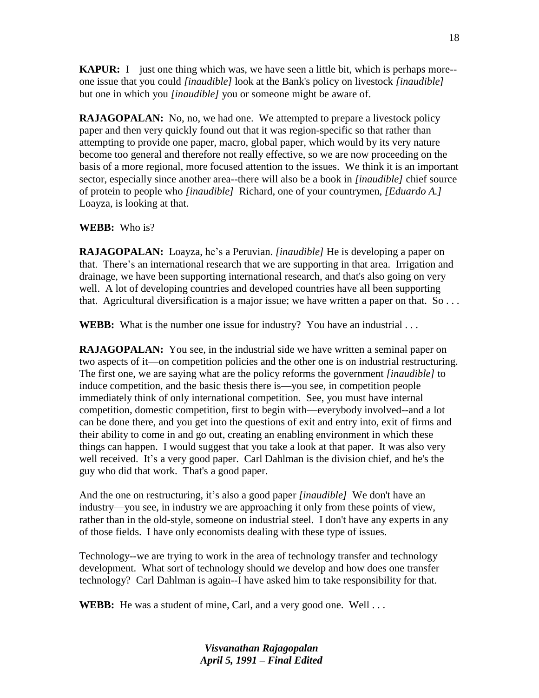**KAPUR:** I—just one thing which was, we have seen a little bit, which is perhaps more- one issue that you could *[inaudible]* look at the Bank's policy on livestock *[inaudible]* but one in which you *[inaudible]* you or someone might be aware of.

**RAJAGOPALAN:** No, no, we had one. We attempted to prepare a livestock policy paper and then very quickly found out that it was region-specific so that rather than attempting to provide one paper, macro, global paper, which would by its very nature become too general and therefore not really effective, so we are now proceeding on the basis of a more regional, more focused attention to the issues. We think it is an important sector, especially since another area--there will also be a book in *[inaudible]* chief source of protein to people who *[inaudible]* Richard, one of your countrymen, *[Eduardo A.]* Loayza, is looking at that.

## **WEBB:** Who is?

**RAJAGOPALAN:** Loayza, he's a Peruvian. *[inaudible]* He is developing a paper on that. There"s an international research that we are supporting in that area. Irrigation and drainage, we have been supporting international research, and that's also going on very well. A lot of developing countries and developed countries have all been supporting that. Agricultural diversification is a major issue; we have written a paper on that. So . . .

**WEBB:** What is the number one issue for industry? You have an industrial ...

**RAJAGOPALAN:** You see, in the industrial side we have written a seminal paper on two aspects of it—on competition policies and the other one is on industrial restructuring. The first one, we are saying what are the policy reforms the government *[inaudible]* to induce competition, and the basic thesis there is—you see, in competition people immediately think of only international competition. See, you must have internal competition, domestic competition, first to begin with—everybody involved--and a lot can be done there, and you get into the questions of exit and entry into, exit of firms and their ability to come in and go out, creating an enabling environment in which these things can happen. I would suggest that you take a look at that paper. It was also very well received. It's a very good paper. Carl Dahlman is the division chief, and he's the guy who did that work. That's a good paper.

And the one on restructuring, it's also a good paper *[inaudible]* We don't have an industry—you see, in industry we are approaching it only from these points of view, rather than in the old-style, someone on industrial steel. I don't have any experts in any of those fields. I have only economists dealing with these type of issues.

Technology--we are trying to work in the area of technology transfer and technology development. What sort of technology should we develop and how does one transfer technology? Carl Dahlman is again--I have asked him to take responsibility for that.

**WEBB:** He was a student of mine, Carl, and a very good one. Well ...